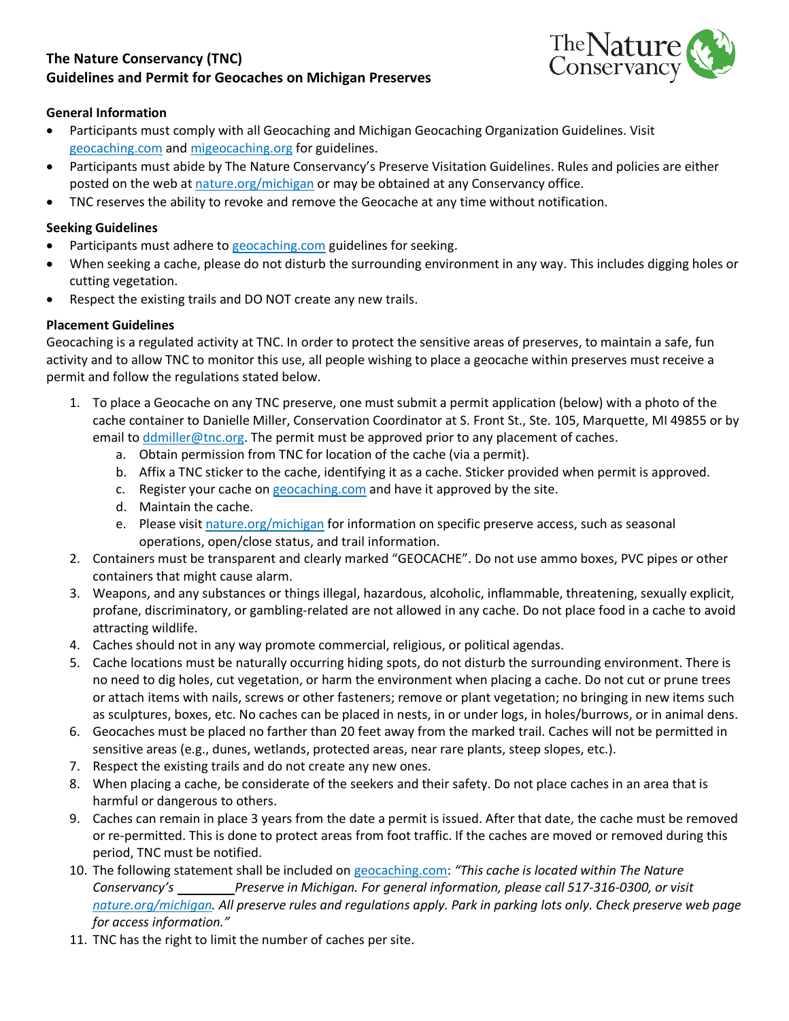# **The Nature Conservancy (TNC) Guidelines and Permit for Geocaches on Michigan Preserves**



## **General Information**

- Participants must comply with all Geocaching and Michigan Geocaching Organization Guidelines. Visit [geocaching.com](http://www.geocaching.com/) and [migeocaching.org](http://www.migeocaching.org/) for guidelines.
- Participants must abide by The Nature Conservancy's Preserve Visitation Guidelines. Rules and policies are either posted on the web at [nature.org/michigan](http://nature.org/michigan) or may be obtained at any Conservancy office.
- TNC reserves the ability to revoke and remove the Geocache at any time without notification.

#### **Seeking Guidelines**

- Participants must adhere to [geocaching.com](http://www.geocaching.com/) guidelines for seeking.
- When seeking a cache, please do not disturb the surrounding environment in any way. This includes digging holes or cutting vegetation.
- Respect the existing trails and DO NOT create any new trails.

## **Placement Guidelines**

Geocaching is a regulated activity at TNC. In order to protect the sensitive areas of preserves, to maintain a safe, fun activity and to allow TNC to monitor this use, all people wishing to place a geocache within preserves must receive a permit and follow the regulations stated below.

- 1. To place a Geocache on any TNC preserve, one must submit a permit application (below) with a photo of the cache container to Danielle Miller, Conservation Coordinator at S. Front St., Ste. 105, Marquette, MI 49855 or by email to  $ddmiller@tnc.org$ . The permit must be approved prior to any placement of caches.
	- a. Obtain permission from TNC for location of the cache (via a permit).
	- b. Affix a TNC sticker to the cache, identifying it as a cache. Sticker provided when permit is approved.
	- c. Register your cache on [geocaching.com](http://www.geocaching.com/) and have it approved by the site.
	- d. Maintain the cache.
	- e. Please visi[t nature.org/michigan](http://www.nature.org/michigan) for information on specific preserve access, such as seasonal operations, open/close status, and trail information.
- 2. Containers must be transparent and clearly marked "GEOCACHE". Do not use ammo boxes, PVC pipes or other containers that might cause alarm.
- 3. Weapons, and any substances or things illegal, hazardous, alcoholic, inflammable, threatening, sexually explicit, profane, discriminatory, or gambling-related are not allowed in any cache. Do not place food in a cache to avoid attracting wildlife.
- 4. Caches should not in any way promote commercial, religious, or political agendas.
- 5. Cache locations must be naturally occurring hiding spots, do not disturb the surrounding environment. There is no need to dig holes, cut vegetation, or harm the environment when placing a cache. Do not cut or prune trees or attach items with nails, screws or other fasteners; remove or plant vegetation; no bringing in new items such as sculptures, boxes, etc. No caches can be placed in nests, in or under logs, in holes/burrows, or in animal dens.
- 6. Geocaches must be placed no farther than 20 feet away from the marked trail. Caches will not be permitted in sensitive areas (e.g., dunes, wetlands, protected areas, near rare plants, steep slopes, etc.).
- 7. Respect the existing trails and do not create any new ones.
- 8. When placing a cache, be considerate of the seekers and their safety. Do not place caches in an area that is harmful or dangerous to others.
- 9. Caches can remain in place 3 years from the date a permit is issued. After that date, the cache must be removed or re-permitted. This is done to protect areas from foot traffic. If the caches are moved or removed during this period, TNC must be notified.
- 10. The following statement shall be included on [geocaching.com](http://www.geocaching.com/) : *"This cache is located within The Nature [nature.org/michigan](http://nature.org/michigan) . All preserve rules and regulations apply. Park in parking lots only. Check preserve web page Conservancy's Preserve in Michigan. For general information, please call 517-316-0300, or visit for access information."*
- 11. TNC has the right to limit the number of caches per site.